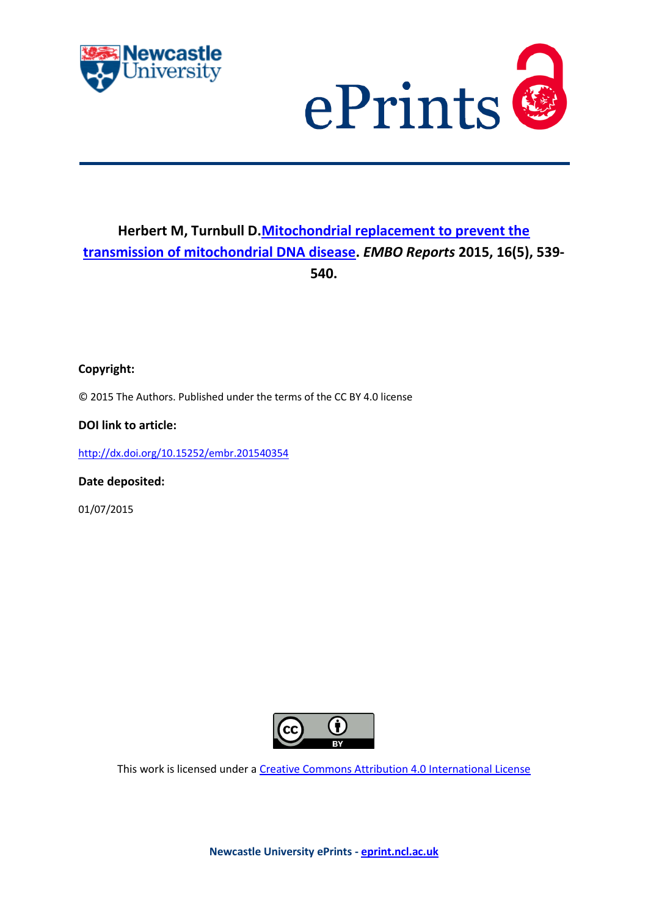



## **Herbert M, Turnbull D[.Mitochondrial replacement to prevent the](javascript:ViewPublication(214088);)  [transmission of mitochondrial DNA disease.](javascript:ViewPublication(214088);)** *EMBO Reports* **2015, 16(5), 539- 540.**

**Copyright:**

© 2015 The Authors. Published under the terms of the CC BY 4.0 license

**DOI link to article:**

<http://dx.doi.org/10.15252/embr.201540354>

**Date deposited:** 

01/07/2015



This work is licensed under [a Creative Commons Attribution 4.0 International License](http://creativecommons.org/licenses/by/4.0/)

**Newcastle University ePrints - [eprint.ncl.ac.uk](http://eprint.ncl.ac.uk/)**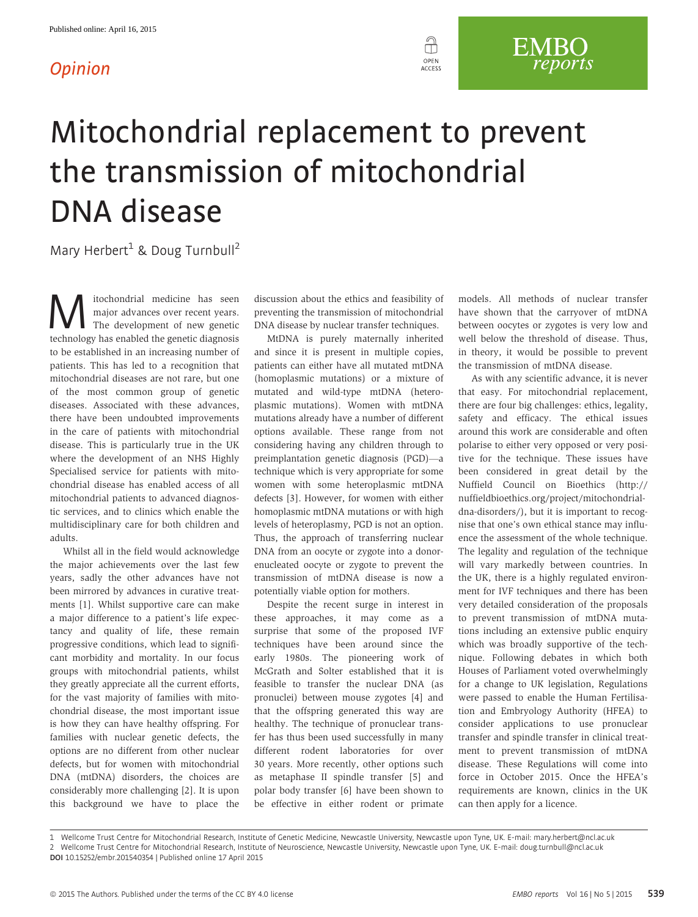## **Opinion**



## Mitochondrial replacement to prevent the transmission of mitochondrial DNA disease

Mary Herbert<sup>1</sup> & Doug Turnbull<sup>2</sup>

**M** itochondrial medicine has seen<br>
The development of new genetic<br>
technology has enabled the genetic diagnosis major advances over recent years. technology has enabled the genetic diagnosis to be established in an increasing number of patients. This has led to a recognition that mitochondrial diseases are not rare, but one of the most common group of genetic diseases. Associated with these advances, there have been undoubted improvements in the care of patients with mitochondrial disease. This is particularly true in the UK where the development of an NHS Highly Specialised service for patients with mitochondrial disease has enabled access of all mitochondrial patients to advanced diagnostic services, and to clinics which enable the multidisciplinary care for both children and adults.

Whilst all in the field would acknowledge the major achievements over the last few years, sadly the other advances have not been mirrored by advances in curative treatments [1]. Whilst supportive care can make a major difference to a patient's life expectancy and quality of life, these remain progressive conditions, which lead to significant morbidity and mortality. In our focus groups with mitochondrial patients, whilst they greatly appreciate all the current efforts, for the vast majority of families with mitochondrial disease, the most important issue is how they can have healthy offspring. For families with nuclear genetic defects, the options are no different from other nuclear defects, but for women with mitochondrial DNA (mtDNA) disorders, the choices are considerably more challenging [2]. It is upon this background we have to place the discussion about the ethics and feasibility of preventing the transmission of mitochondrial DNA disease by nuclear transfer techniques.

MtDNA is purely maternally inherited and since it is present in multiple copies, patients can either have all mutated mtDNA (homoplasmic mutations) or a mixture of mutated and wild-type mtDNA (heteroplasmic mutations). Women with mtDNA mutations already have a number of different options available. These range from not considering having any children through to preimplantation genetic diagnosis (PGD)—a technique which is very appropriate for some women with some heteroplasmic mtDNA defects [3]. However, for women with either homoplasmic mtDNA mutations or with high levels of heteroplasmy, PGD is not an option. Thus, the approach of transferring nuclear DNA from an oocyte or zygote into a donorenucleated oocyte or zygote to prevent the transmission of mtDNA disease is now a potentially viable option for mothers.

Despite the recent surge in interest in these approaches, it may come as a surprise that some of the proposed IVF techniques have been around since the early 1980s. The pioneering work of McGrath and Solter established that it is feasible to transfer the nuclear DNA (as pronuclei) between mouse zygotes [4] and that the offspring generated this way are healthy. The technique of pronuclear transfer has thus been used successfully in many different rodent laboratories for over 30 years. More recently, other options such as metaphase II spindle transfer [5] and polar body transfer [6] have been shown to be effective in either rodent or primate models. All methods of nuclear transfer have shown that the carryover of mtDNA between oocytes or zygotes is very low and well below the threshold of disease. Thus, in theory, it would be possible to prevent the transmission of mtDNA disease.

**EMBO** 

reports

As with any scientific advance, it is never that easy. For mitochondrial replacement, there are four big challenges: ethics, legality, safety and efficacy. The ethical issues around this work are considerable and often polarise to either very opposed or very positive for the technique. These issues have been considered in great detail by the Nuffield Council on Bioethics [\(http://](http://nuffieldbioethics.org/project/mitochondrial-dna-disorders/) [nuffieldbioethics.org/project/mitochondrial](http://nuffieldbioethics.org/project/mitochondrial-dna-disorders/)[dna-disorders/](http://nuffieldbioethics.org/project/mitochondrial-dna-disorders/)), but it is important to recognise that one's own ethical stance may influence the assessment of the whole technique. The legality and regulation of the technique will vary markedly between countries. In the UK, there is a highly regulated environment for IVF techniques and there has been very detailed consideration of the proposals to prevent transmission of mtDNA mutations including an extensive public enquiry which was broadly supportive of the technique. Following debates in which both Houses of Parliament voted overwhelmingly for a change to UK legislation, Regulations were passed to enable the Human Fertilisation and Embryology Authority (HFEA) to consider applications to use pronuclear transfer and spindle transfer in clinical treatment to prevent transmission of mtDNA disease. These Regulations will come into force in October 2015. Once the HFEA's requirements are known, clinics in the UK can then apply for a licence.

<sup>1</sup> Wellcome Trust Centre for Mitochondrial Research, Institute of Genetic Medicine, Newcastle University, Newcastle upon Tyne, UK. E-mail: mary.herbert@ncl.ac.uk 2 Wellcome Trust Centre for Mitochondrial Research, Institute of Neuroscience, Newcastle University, Newcastle upon Tyne, UK. E-mail: doug.turnbull@ncl.ac.uk DOI 10.15252/embr.201540354 | Published online 17 April 2015